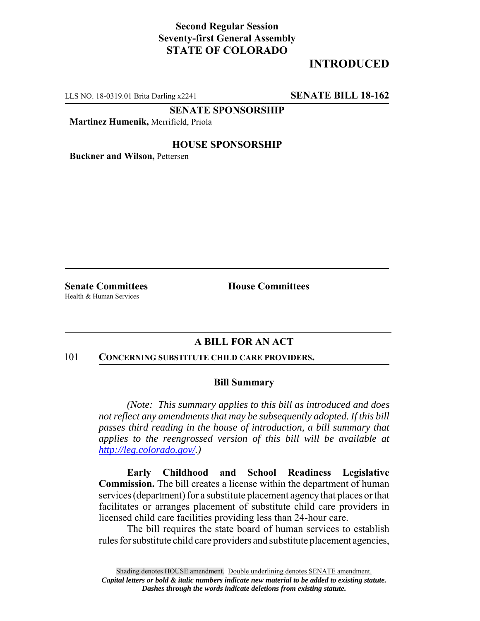## **Second Regular Session Seventy-first General Assembly STATE OF COLORADO**

# **INTRODUCED**

LLS NO. 18-0319.01 Brita Darling x2241 **SENATE BILL 18-162**

**SENATE SPONSORSHIP**

**Martinez Humenik,** Merrifield, Priola

### **HOUSE SPONSORSHIP**

**Buckner and Wilson,** Pettersen

Health & Human Services

**Senate Committees House Committees** 

## **A BILL FOR AN ACT**

### 101 **CONCERNING SUBSTITUTE CHILD CARE PROVIDERS.**

#### **Bill Summary**

*(Note: This summary applies to this bill as introduced and does not reflect any amendments that may be subsequently adopted. If this bill passes third reading in the house of introduction, a bill summary that applies to the reengrossed version of this bill will be available at http://leg.colorado.gov/.)*

**Early Childhood and School Readiness Legislative Commission.** The bill creates a license within the department of human services (department) for a substitute placement agency that places or that facilitates or arranges placement of substitute child care providers in licensed child care facilities providing less than 24-hour care.

The bill requires the state board of human services to establish rules for substitute child care providers and substitute placement agencies,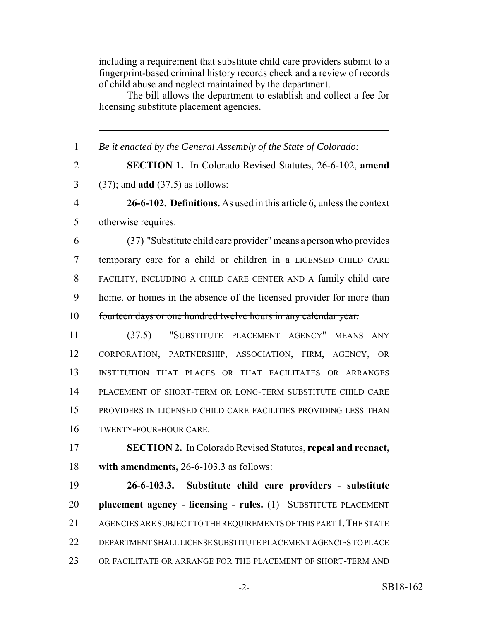including a requirement that substitute child care providers submit to a fingerprint-based criminal history records check and a review of records of child abuse and neglect maintained by the department.

The bill allows the department to establish and collect a fee for licensing substitute placement agencies.

 *Be it enacted by the General Assembly of the State of Colorado:* **SECTION 1.** In Colorado Revised Statutes, 26-6-102, **amend** (37); and **add** (37.5) as follows: **26-6-102. Definitions.** As used in this article 6, unless the context otherwise requires: (37) "Substitute child care provider" means a person who provides temporary care for a child or children in a LICENSED CHILD CARE FACILITY, INCLUDING A CHILD CARE CENTER AND A family child care 9 home. or homes in the absence of the licensed provider for more than fourteen days or one hundred twelve hours in any calendar year. (37.5) "SUBSTITUTE PLACEMENT AGENCY" MEANS ANY CORPORATION, PARTNERSHIP, ASSOCIATION, FIRM, AGENCY, OR INSTITUTION THAT PLACES OR THAT FACILITATES OR ARRANGES PLACEMENT OF SHORT-TERM OR LONG-TERM SUBSTITUTE CHILD CARE PROVIDERS IN LICENSED CHILD CARE FACILITIES PROVIDING LESS THAN TWENTY-FOUR-HOUR CARE. **SECTION 2.** In Colorado Revised Statutes, **repeal and reenact, with amendments,** 26-6-103.3 as follows: **26-6-103.3. Substitute child care providers - substitute placement agency - licensing - rules.** (1) SUBSTITUTE PLACEMENT 21 AGENCIES ARE SUBJECT TO THE REQUIREMENTS OF THIS PART 1. THE STATE DEPARTMENT SHALL LICENSE SUBSTITUTE PLACEMENT AGENCIES TO PLACE OR FACILITATE OR ARRANGE FOR THE PLACEMENT OF SHORT-TERM AND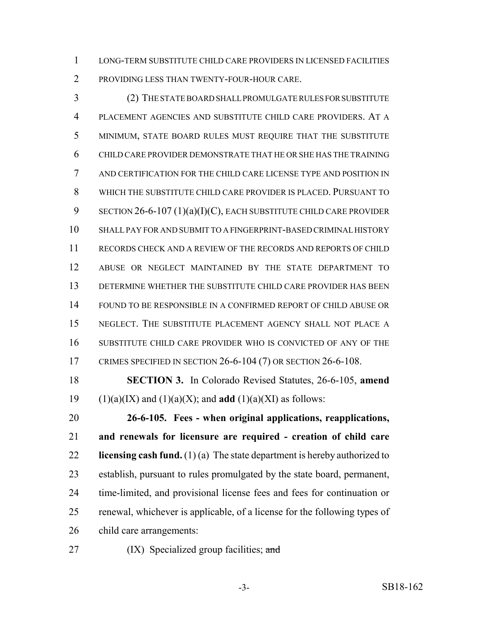LONG-TERM SUBSTITUTE CHILD CARE PROVIDERS IN LICENSED FACILITIES PROVIDING LESS THAN TWENTY-FOUR-HOUR CARE.

 (2) THE STATE BOARD SHALL PROMULGATE RULES FOR SUBSTITUTE PLACEMENT AGENCIES AND SUBSTITUTE CHILD CARE PROVIDERS. AT A MINIMUM, STATE BOARD RULES MUST REQUIRE THAT THE SUBSTITUTE CHILD CARE PROVIDER DEMONSTRATE THAT HE OR SHE HAS THE TRAINING AND CERTIFICATION FOR THE CHILD CARE LICENSE TYPE AND POSITION IN WHICH THE SUBSTITUTE CHILD CARE PROVIDER IS PLACED. PURSUANT TO 9 SECTION 26-6-107 (1)(a)(I)(C), EACH SUBSTITUTE CHILD CARE PROVIDER SHALL PAY FOR AND SUBMIT TO A FINGERPRINT-BASED CRIMINAL HISTORY RECORDS CHECK AND A REVIEW OF THE RECORDS AND REPORTS OF CHILD ABUSE OR NEGLECT MAINTAINED BY THE STATE DEPARTMENT TO DETERMINE WHETHER THE SUBSTITUTE CHILD CARE PROVIDER HAS BEEN FOUND TO BE RESPONSIBLE IN A CONFIRMED REPORT OF CHILD ABUSE OR NEGLECT. THE SUBSTITUTE PLACEMENT AGENCY SHALL NOT PLACE A SUBSTITUTE CHILD CARE PROVIDER WHO IS CONVICTED OF ANY OF THE CRIMES SPECIFIED IN SECTION 26-6-104 (7) OR SECTION 26-6-108.

 **SECTION 3.** In Colorado Revised Statutes, 26-6-105, **amend** 19 (1)(a)(IX) and (1)(a)(X); and **add** (1)(a)(XI) as follows:

 **26-6-105. Fees - when original applications, reapplications, and renewals for licensure are required - creation of child care licensing cash fund.** (1) (a) The state department is hereby authorized to establish, pursuant to rules promulgated by the state board, permanent, time-limited, and provisional license fees and fees for continuation or renewal, whichever is applicable, of a license for the following types of child care arrangements:

27  $(IX)$  Specialized group facilities; and